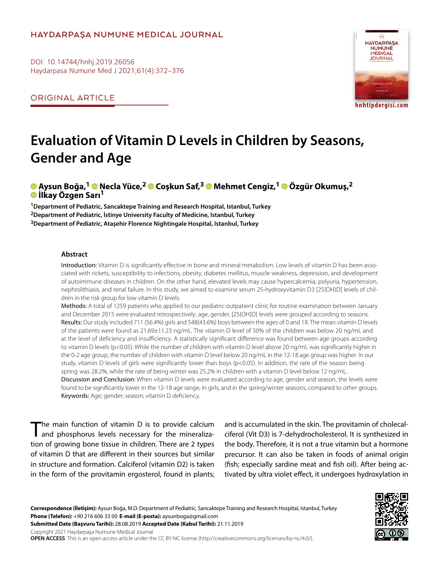## **HAYDARPAŞA NUMUNE MEDICAL JOURNAL**

DOI: 10.14744/hnhj.2019.26056 Haydarpasa Numune Med J 2021;61(4):372–376

ORIGINAL ARTICLE



**hnhtipdergisi.com**

# **Evaluation of Vitamin D Levels in Children by Seasons, Gender and Age**

# $\bullet$  **Aysun Boğa,<sup>1</sup>**  $\bullet$  **Necla Yüce,<sup>2</sup>**  $\bullet$  **Coskun Saf,<sup>3</sup>**  $\bullet$  **Mehmet Cengiz,<sup>1</sup>**  $\bullet$  **Özgür Okumus,<sup>2</sup> İlkay Özgen Sarı1**

**1Department of Pediatric, Sancaktepe Training and Research Hospital, Istanbul, Turkey 2Department of Pediatric, İstinye University Faculty of Medicine, Istanbul, Turkey 3Department of Pediatric, Ataşehir Florence Nightingale Hospital, Istanbul, Turkey**

#### **Abstract**

Introduction: Vitamin D is significantly effective in bone and mineral metabolism. Low levels of vitamin D has been associated with rickets, susceptibility to infections, obesity, diabetes mellitus, muscle weakness, depression, and development of autoimmune diseases in children. On the other hand, elevated levels may cause hypercalcemia, polyuria, hypertension, nephrolithiasis, and renal failure. In this study, we aimed to examine serum 25-hydroxyvitamin D3 [25(OH)D] levels of children in the risk group for low vitamin D levels.

Methods: A total of 1259 patients who applied to our pediatric outpatient clinic for routine examination between January and December 2015 were evaluated retrospectively; age, gender, [25(OH)D] levels were grouped according to seasons. Results: Our study included 711 (56.4%) girls and 548(43.6%) boys between the ages of 0 and 18. The mean vitamin D levels of the patients were found as 21.69±11.23 ng/mL. The vitamin D level of 50% of the children was below 20 ng/mL and at the level of deficiency and insufficiency. A statistically significant difference was found between age groups according to vitamin D levels (p<0.05). While the number of children with vitamin D level above 20 ng/mL was significantly higher in the 0-2 age group, the number of children with vitamin D level below 20 ng/mL in the 12-18 age group was higher. In our study, vitamin D levels of girls were significantly lower than boys (p<0.05). In addition, the rate of the season being spring was 28.2%, while the rate of being winter was 25.2% in children with a vitamin D level below 12 ng/mL. Discussion and Conclusion: When vitamin D levels were evaluated according to age, gender and season, the levels were found to be significantly lower in the 12-18 age range, in girls, and in the spring/winter seasons, compared to other groups. Keywords: Age; gender; season; vitamin D deficiency.

The main function of vitamin D is to provide calcium and phosphorus levels necessary for the mineralization of growing bone tissue in children. There are 2 types of vitamin D that are different in their sources but similar in structure and formation. Calciferol (vitamin D2) is taken in the form of the provitamin ergosterol, found in plants; and is accumulated in the skin. The provitamin of cholecalciferol (Vit D3) is 7-dehydrocholesterol. It is synthesized in the body. Therefore, it is not a true vitamin but a hormone precursor. It can also be taken in foods of animal origin (fish; especially sardine meat and fish oil). After being activated by ultra violet effect, it undergoes hydroxylation in

**Correspondence (İletişim):** Aysun Boğa, M.D. Department of Pediatric, Sancaktepe Training and Research Hospital, Istanbul, Turkey **Phone (Telefon):** +90 216 606 33 00 **E-mail (E-posta):** aysunboga@gmail.com **Submitted Date (Başvuru Tarihi):** 28.08.2019 **Accepted Date (Kabul Tarihi):** 21.11.2019

Copyright 2021 Haydarpaşa Numune Medical Journal **OPEN ACCESS** This is an open access article under the CC BY-NC license (http://creativecommons.org/licenses/by-nc/4.0/).

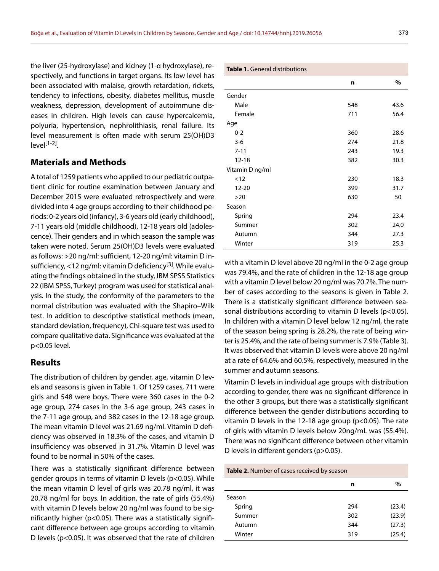the liver (25-hydroxylase) and kidney (1-α hydroxylase), respectively, and functions in target organs. Its low level has been associated with malaise, growth retardation, rickets, tendency to infections, obesity, diabetes mellitus, muscle weakness, depression, development of autoimmune diseases in children. High levels can cause hypercalcemia, polyuria, hypertension, nephrolithiasis, renal failure. Its level measurement is often made with serum 25(OH)D3  $|P|$ [1-2]

### **Materials and Methods**

A total of 1259 patients who applied to our pediatric outpatient clinic for routine examination between January and December 2015 were evaluated retrospectively and were divided into 4 age groups according to their childhood periods: 0-2 years old (infancy), 3-6 years old (early childhood), 7-11 years old (middle childhood), 12-18 years old (adolescence). Their genders and in which season the sample was taken were noted. Serum 25(OH)D3 levels were evaluated as follows: >20 ng/ml: sufficient, 12-20 ng/ml: vitamin D insufficiency, <12 ng/ml: vitamin D deficiency<sup>[3]</sup>. While evaluating the findings obtained in the study, IBM SPSS Statistics 22 (IBM SPSS, Turkey) program was used for statistical analysis. In the study, the conformity of the parameters to the normal distribution was evaluated with the Shapiro–Wilk test. In addition to descriptive statistical methods (mean, standard deviation, frequency), Chi-square test was used to compare qualitative data. Significance was evaluated at the p<0.05 level.

#### **Results**

The distribution of children by gender, age, vitamin D levels and seasons is given in Table 1. Of 1259 cases, 711 were girls and 548 were boys. There were 360 cases in the 0-2 age group, 274 cases in the 3-6 age group, 243 cases in the 7-11 age group, and 382 cases in the 12-18 age group. The mean vitamin D level was 21.69 ng/ml. Vitamin D deficiency was observed in 18.3% of the cases, and vitamin D insufficiency was observed in 31.7%. Vitamin D level was found to be normal in 50% of the cases.

There was a statistically significant difference between gender groups in terms of vitamin D levels (p<0.05). While the mean vitamin D level of girls was 20.78 ng/ml, it was 20.78 ng/ml for boys. In addition, the rate of girls (55.4%) with vitamin D levels below 20 ng/ml was found to be significantly higher (p<0.05). There was a statistically significant difference between age groups according to vitamin D levels (p<0.05). It was observed that the rate of children

|                 | n   | %    |  |
|-----------------|-----|------|--|
| Gender          |     |      |  |
| Male            | 548 | 43.6 |  |
| Female          | 711 | 56.4 |  |
| Age             |     |      |  |
| $0 - 2$         | 360 | 28.6 |  |
| $3-6$           | 274 | 21.8 |  |
| $7 - 11$        | 243 | 19.3 |  |
| $12 - 18$       | 382 | 30.3 |  |
| Vitamin D ng/ml |     |      |  |
| < 12            | 230 | 18.3 |  |
| $12 - 20$       | 399 | 31.7 |  |
| $>20$           | 630 | 50   |  |
| Season          |     |      |  |
| Spring          | 294 | 23.4 |  |
| Summer          | 302 | 24.0 |  |
| Autumn          | 344 | 27.3 |  |
| Winter          | 319 | 25.3 |  |

with a vitamin D level above 20 ng/ml in the 0-2 age group was 79.4%, and the rate of children in the 12-18 age group with a vitamin D level below 20 ng/ml was 70.7%. The number of cases according to the seasons is given in Table 2. There is a statistically significant difference between seasonal distributions according to vitamin D levels (p<0.05). In children with a vitamin D level below 12 ng/ml, the rate of the season being spring is 28.2%, the rate of being winter is 25.4%, and the rate of being summer is 7.9% (Table 3). It was observed that vitamin D levels were above 20 ng/ml at a rate of 64.6% and 60.5%, respectively, measured in the summer and autumn seasons.

Vitamin D levels in individual age groups with distribution according to gender, there was no significant difference in the other 3 groups, but there was a statistically significant difference between the gender distributions according to vitamin D levels in the 12-18 age group (p<0.05). The rate of girls with vitamin D levels below 20ng/mL was (55.4%). There was no significant difference between other vitamin D levels in different genders (p>0.05).

**Table 2.** Number of cases received by season

|        | n   | %      |
|--------|-----|--------|
| Season |     |        |
| Spring | 294 | (23.4) |
| Summer | 302 | (23.9) |
| Autumn | 344 | (27.3) |
| Winter | 319 | (25.4) |
|        |     |        |

#### **Table 1.** General distributions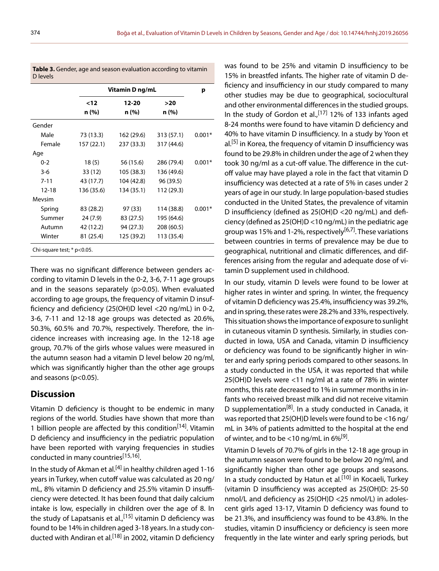|           | Vitamin D ng/mL |                |              | р        |
|-----------|-----------------|----------------|--------------|----------|
|           | $12$<br>n (%)   | 12-20<br>n (%) | >20<br>n (%) |          |
| Gender    |                 |                |              |          |
| Male      | 73 (13.3)       | 162 (29.6)     | 313 (57.1)   | $0.001*$ |
| Female    | 157 (22.1)      | 237 (33.3)     | 317 (44.6)   |          |
| Age       |                 |                |              |          |
| $0 - 2$   | 18(5)           | 56 (15.6)      | 286 (79.4)   | $0.001*$ |
| $3-6$     | 33 (12)         | 105 (38.3)     | 136 (49.6)   |          |
| $7 - 11$  | 43 (17.7)       | 104 (42.8)     | 96 (39.5)    |          |
| $12 - 18$ | 136 (35.6)      | 134 (35.1)     | 112 (29.3)   |          |
| Mevsim    |                 |                |              |          |
| Spring    | 83 (28.2)       | 97 (33)        | 114 (38.8)   | $0.001*$ |
| Summer    | 24 (7.9)        | 83 (27.5)      | 195 (64.6)   |          |
| Autumn    | 42 (12.2)       | 94 (27.3)      | 208 (60.5)   |          |
| Winter    | 81 (25.4)       | 125 (39.2)     | 113 (35.4)   |          |

**Table 3.** Gender, age and season evaluation according to vitamin D levels

There was no significant difference between genders according to vitamin D levels in the 0-2, 3-6, 7-11 age groups and in the seasons separately (p>0.05). When evaluated according to age groups, the frequency of vitamin D insufficiency and deficiency (25(OH)D level <20 ng/mL) in 0-2, 3-6, 7-11 and 12-18 age groups was detected as 20.6%, 50.3%, 60.5% and 70.7%, respectively. Therefore, the incidence increases with increasing age. In the 12-18 age group, 70.7% of the girls whose values were measured in the autumn season had a vitamin D level below 20 ng/ml, which was significantly higher than the other age groups and seasons (p<0.05).

## **Discussion**

Vitamin D deficiency is thought to be endemic in many regions of the world. Studies have shown that more than 1 billion people are affected by this condition<sup>[14]</sup>. Vitamin D deficiency and insufficiency in the pediatric population have been reported with varying frequencies in studies conducted in many countries<sup>[15,16]</sup>.

In the study of Akman et al.<sup>[4]</sup> in healthy children aged 1-16 years in Turkey, when cutoff value was calculated as 20 ng/ mL, 8% vitamin D deficiency and 25.5% vitamin D insufficiency were detected. It has been found that daily calcium intake is low, especially in children over the age of 8. In the study of Lapatsanis et al.,<sup>[15]</sup> vitamin D deficiency was found to be 14% in children aged 3-18 years. In a study conducted with Andiran et al.<sup>[18]</sup> in 2002, vitamin D deficiency was found to be 25% and vitamin D insufficiency to be 15% in breastfed infants. The higher rate of vitamin D deficiency and insufficiency in our study compared to many other studies may be due to geographical, sociocultural and other environmental differences in the studied groups. In the study of Gordon et al.,  $[17]$  12% of 133 infants aged 8-24 months were found to have vitamin D deficiency and 40% to have vitamin D insufficiency. In a study by Yoon et  $al.<sup>[5]</sup>$  in Korea, the frequency of vitamin D insufficiency was found to be 29.8% in children under the age of 2 when they took 30 ng/ml as a cut-off value. The difference in the cutoff value may have played a role in the fact that vitamin D insufficiency was detected at a rate of 5% in cases under 2 years of age in our study. In large population-based studies conducted in the United States, the prevalence of vitamin D insufficiency (defined as 25(OH)D <20 ng/mL) and deficiency (defined as 25(OH)D <10 ng/mL) in the pediatric age group was 15% and 1-2%, respectively<sup>[6,7]</sup>. These variations between countries in terms of prevalence may be due to geographical, nutritional and climatic differences, and differences arising from the regular and adequate dose of vitamin D supplement used in childhood.

In our study, vitamin D levels were found to be lower at higher rates in winter and spring. In winter, the frequency of vitamin D deficiency was 25.4%, insufficiency was 39.2%, and in spring, these rates were 28.2% and 33%, respectively. This situation shows the importance of exposure to sunlight in cutaneous vitamin D synthesis. Similarly, in studies conducted in Iowa, USA and Canada, vitamin D insufficiency or deficiency was found to be significantly higher in winter and early spring periods compared to other seasons. In a study conducted in the USA, it was reported that while 25(OH)D levels were <11 ng/ml at a rate of 78% in winter months, this rate decreased to 1% in summer months in infants who received breast milk and did not receive vitamin D supplementation<sup>[8]</sup>. In a study conducted in Canada, it was reported that 25(OH)D levels were found to be <16 ng/ mL in 34% of patients admitted to the hospital at the end of winter, and to be  $<$ 10 ng/mL in 6% $^{[9]}$ .

Vitamin D levels of 70.7% of girls in the 12-18 age group in the autumn season were found to be below 20 ng/ml, and significantly higher than other age groups and seasons. In a study conducted by Hatun et al.<sup>[10]</sup> in Kocaeli, Turkey (vitamin D insufficiency was accepted as 25(OH)D: 25-50 nmol/L and deficiency as 25(OH)D <25 nmol/L) in adolescent girls aged 13-17, Vitamin D deficiency was found to be 21.3%, and insufficiency was found to be 43.8%. In the studies, vitamin D insufficiency or deficiency is seen more frequently in the late winter and early spring periods, but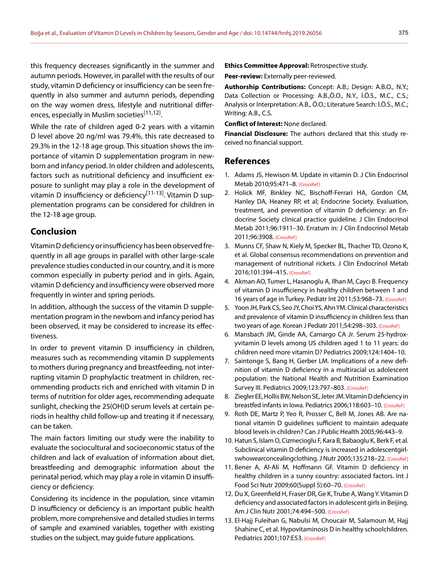this frequency decreases significantly in the summer and autumn periods. However, in parallel with the results of our study, vitamin D deficiency or insufficiency can be seen frequently in also summer and autumn periods, depending on the way women dress, lifestyle and nutritional differences, especially in Muslim societies<sup>[11,12]</sup>.

While the rate of children aged 0-2 years with a vitamin D level above 20 ng/ml was 79.4%, this rate decreased to 29.3% in the 12-18 age group. This situation shows the importance of vitamin D supplementation program in newborn and infancy period. In older children and adolescents, factors such as nutritional deficiency and insufficient exposure to sunlight may play a role in the development of vitamin D insufficiency or deficiency<sup>[11-13]</sup>. Vitamin D supplementation programs can be considered for children in the 12-18 age group.

# **Conclusion**

Vitamin D deficiency or insufficiency has been observed frequently in all age groups in parallel with other large-scale prevalence studies conducted in our country, and it is more common especially in puberty period and in girls. Again, vitamin D deficiency and insufficiency were observed more frequently in winter and spring periods.

In addition, although the success of the vitamin D supplementation program in the newborn and infancy period has been observed, it may be considered to increase its effectiveness.

In order to prevent vitamin D insufficiency in children, measures such as recommending vitamin D supplements to mothers during pregnancy and breastfeeding, not interrupting vitamin D prophylactic treatment in children, recommending products rich and enriched with vitamin D in terms of nutrition for older ages, recommending adequate sunlight, checking the 25(OH)D serum levels at certain periods in healthy child follow-up and treating it if necessary, can be taken.

The main factors limiting our study were the inability to evaluate the sociocultural and socioeconomic status of the children and lack of evaluation of information about diet, breastfeeding and demographic information about the perinatal period, which may play a role in vitamin D insufficiency or deficiency.

Considering its incidence in the population, since vitamin D insufficiency or deficiency is an important public health problem, more comprehensive and detailed studies in terms of sample and examined variables, together with existing studies on the subject, may guide future applications.

**Ethics Committee Approval:** Retrospective study.

**Peer-review:** Externally peer-reviewed.

**Authorship Contributions:** Concept: A.B.; Design: A.B.O., N.Y.; Data Collection or Processing: A.B.,Ö.O., N.Y., İ.Ö.S., M.C., C.S.; Analysis or Interpretation: A.B., Ö.O.; Literature Search: İ.Ö.S., M.C.; Writing: A.B., C.S.

**Conflict of Interest:** None declared.

**Financial Disclosure:** The authors declared that this study received no financial support.

#### **References**

- 1. Adams JS, Hewison M. Update in vitamin D. J Clin Endocrinol Metab 2010;95:471–8. [\[CrossRef\]](https://doi.org/10.1210/jc.2009-1773)
- 2. Holick MF, Binkley NC, Bischoff-Ferrari HA, Gordon CM, Hanley DA, Heaney RP, et al; Endocrine Society. Evaluation, treatment, and prevention of vitamin D deficiency: an Endocrine Society clinical practice guideline. J Clin Endocrinol Metab 2011;96:1911–30. Erratum in: J Clin Endocrinol Metab 2011;96:3908[. \[CrossRef\]](https://doi.org/10.1210/jc.2011-0385)
- 3. Munns CF, Shaw N, Kiely M, Specker BL, Thacher TD, Ozono K, et al. Global consensus recommendations on prevention and management of nutritional rickets. J Clin Endocrinol Metab 2016;101:394–415. [\[CrossRef\]](https://doi.org/10.1210/jc.2015-2175)
- 4. Akman AO, Tumer L, Hasanoglu A, Ilhan M, Caycı B. Frequency of vitamin D insufficiency in healthy children between 1 and 16 years of age in Turkey. Pediatr Int 2011;53:968–7[3. \[CrossRef\]](https://doi.org/10.1111/j.1442-200X.2011.03486.x)
- 5. Yoon JH, Park CS, Seo JY, Choi YS, Ahn YM. Clinical characteristics and prevalence of vitamin D insufficiency in children less than two years of age. Korean J Pediatr 2011;54:298-303[. \[CrossRef\]](https://doi.org/10.3345/kjp.2011.54.7.298)
- 6. Mansbach JM, Ginde AA, Camargo CA Jr. Serum 25-hydroxyvitamin D levels among US children aged 1 to 11 years: do children need more vitamin D? Pediatrics [2009;124:1404–10.](https://doi.org/10.1542/peds.2008-2041)
- 7. Saintonge S, Bang H, Gerber LM. Implications of a new definition of vitamin D deficiency in a multiracial us adolescent population: the National Health and Nutrition Examination Survey III. Pediatrics 2009;123:797–803. [\[CrossRef\]](https://doi.org/10.1542/peds.2008-1195)
- 8. Ziegler EE, Hollis BW, Nelson SE, Jeter JM. Vitamin D deficiency in breastfed infants in Iowa. Pediatrics 2006;118:603-1[0. \[CrossRef\]](https://doi.org/10.1542/peds.2006-0108)
- 9. Roth DE, Martz P, Yeo R, Prosser C, Bell M, Jones AB. Are national vitamin D guidelines sufficient to maintain adequate blood levels in children? Can J Public Health [2005;96:443–9.](https://doi.org/10.1007/BF03405185)
- 10. Hatun S, Islam O, Cizmecioglu F, Kara B, Babaoglu K, Berk F, et al. Subclinical vitamin D deficiency is increased in adolescentgirl-swhowearconcealingclothing. J Nutr 2005;135:218-22. [\[CrossRef\]](https://doi.org/10.1093/jn/135.2.218)
- 11. Bener A, Al-Ali M, Hoffmann GF. Vitamin D deficiency in healthy children in a sunny country: associated factors. Int J Food Sci Nutr 2009;60(Suppl 5):60–70. [\[CrossRef\]](https://doi.org/10.1080/09637480802400487)
- 12. Du X, Greenfield H, Fraser DR, Ge K, Trube A, Wang Y. Vitamin D deficiency and associated factors in adolescent girls in Beijing. Am J Clin Nutr 2001;74:494–50[0. \[CrossRef\]](https://doi.org/10.1093/ajcn/74.4.494)
- 13. El-Hajj Fuleihan G, Nabulsi M, Choucair M, Salamoun M, Hajj Shahine C, et al. Hypovitaminosis D in healthy schoolchildren. Pediatrics 2001;107:E53[. \[CrossRef\]](https://doi.org/10.1542/peds.107.4.e53)